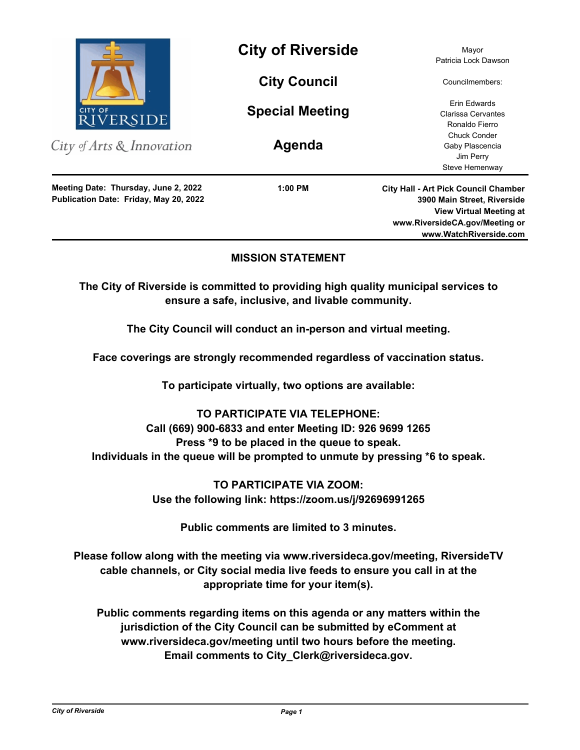

City of Arts & Innovation

**Publication Date: Friday, May 20, 2022 Meeting Date: Thursday, June 2, 2022**

**City of Riverside** Mayor

**City Council**

**Special Meeting**

**Agenda**

**1:00 PM**

Patricia Lock Dawson

Councilmembers:

Erin Edwards Clarissa Cervantes Ronaldo Fierro Chuck Conder Gaby Plascencia Jim Perry Steve Hemenway

**City Hall - Art Pick Council Chamber 3900 Main Street, Riverside View Virtual Meeting at www.RiversideCA.gov/Meeting or www.WatchRiverside.com**

## **MISSION STATEMENT**

**The City of Riverside is committed to providing high quality municipal services to ensure a safe, inclusive, and livable community.**

**The City Council will conduct an in-person and virtual meeting.** 

**Face coverings are strongly recommended regardless of vaccination status.** 

**To participate virtually, two options are available:** 

**TO PARTICIPATE VIA TELEPHONE: Call (669) 900-6833 and enter Meeting ID: 926 9699 1265 Press \*9 to be placed in the queue to speak. Individuals in the queue will be prompted to unmute by pressing \*6 to speak.**

> **TO PARTICIPATE VIA ZOOM: Use the following link: https://zoom.us/j/92696991265**

> > **Public comments are limited to 3 minutes.**

**Please follow along with the meeting via www.riversideca.gov/meeting, RiversideTV cable channels, or City social media live feeds to ensure you call in at the appropriate time for your item(s).** 

**Public comments regarding items on this agenda or any matters within the jurisdiction of the City Council can be submitted by eComment at www.riversideca.gov/meeting until two hours before the meeting. Email comments to City\_Clerk@riversideca.gov.**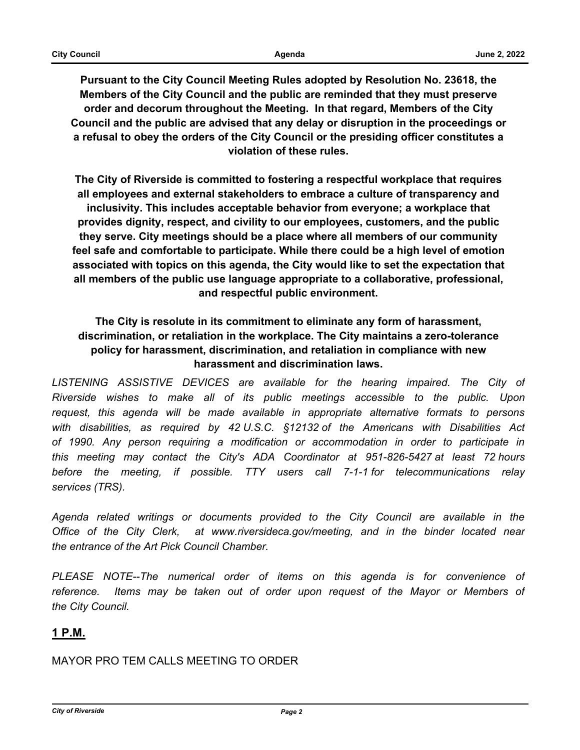**Pursuant to the City Council Meeting Rules adopted by Resolution No. 23618, the Members of the City Council and the public are reminded that they must preserve order and decorum throughout the Meeting. In that regard, Members of the City Council and the public are advised that any delay or disruption in the proceedings or a refusal to obey the orders of the City Council or the presiding officer constitutes a violation of these rules.**

**The City of Riverside is committed to fostering a respectful workplace that requires all employees and external stakeholders to embrace a culture of transparency and inclusivity. This includes acceptable behavior from everyone; a workplace that provides dignity, respect, and civility to our employees, customers, and the public they serve. City meetings should be a place where all members of our community feel safe and comfortable to participate. While there could be a high level of emotion associated with topics on this agenda, the City would like to set the expectation that all members of the public use language appropriate to a collaborative, professional, and respectful public environment.**

# **The City is resolute in its commitment to eliminate any form of harassment, discrimination, or retaliation in the workplace. The City maintains a zero-tolerance policy for harassment, discrimination, and retaliation in compliance with new harassment and discrimination laws.**

LISTENING ASSISTIVE DEVICES are available for the hearing impaired. The City of *Riverside wishes to make all of its public meetings accessible to the public. Upon request, this agenda will be made available in appropriate alternative formats to persons with disabilities, as required by 42 U.S.C. §12132 of the Americans with Disabilities Act of 1990. Any person requiring a modification or accommodation in order to participate in this meeting may contact the City's ADA Coordinator at 951-826-5427 at least 72 hours before the meeting, if possible. TTY users call 7-1-1 for telecommunications relay services (TRS).* 

*Agenda related writings or documents provided to the City Council are available in the Office of the City Clerk, at www.riversideca.gov/meeting, and in the binder located near the entrance of the Art Pick Council Chamber.* 

*PLEASE NOTE--The numerical order of items on this agenda is for convenience of reference. Items may be taken out of order upon request of the Mayor or Members of the City Council.*

## **1 P.M.**

MAYOR PRO TEM CALLS MEETING TO ORDER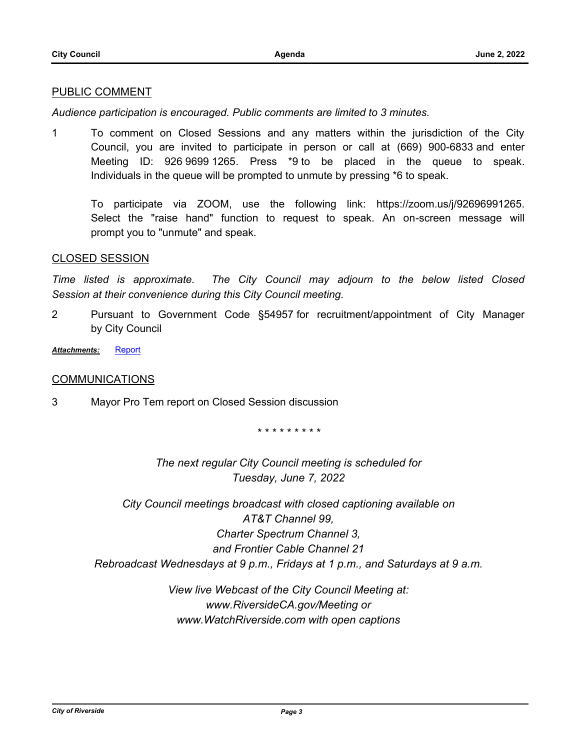#### PUBLIC COMMENT

*Audience participation is encouraged. Public comments are limited to 3 minutes.*

1 To comment on Closed Sessions and any matters within the jurisdiction of the City Council, you are invited to participate in person or call at (669) 900-6833 and enter Meeting ID: 926 9699 1265. Press \*9 to be placed in the queue to speak. Individuals in the queue will be prompted to unmute by pressing \*6 to speak.

To participate via ZOOM, use the following link: https://zoom.us/j/92696991265. Select the "raise hand" function to request to speak. An on-screen message will prompt you to "unmute" and speak.

#### CLOSED SESSION

*Time listed is approximate. The City Council may adjourn to the below listed Closed Session at their convenience during this City Council meeting.*

2 Pursuant to Government Code §54957 for recruitment/appointment of City Manager by City Council

*Attachments:* [Report](http://riversideca.legistar.com/gateway.aspx?M=F&ID=33bfda82-e5fb-4ca7-aeb5-205dd5b9c2db.pdf)

### **COMMUNICATIONS**

3 Mayor Pro Tem report on Closed Session discussion

*\* \* \* \* \* \* \* \* \**

*The next regular City Council meeting is scheduled for Tuesday, June 7, 2022*

*City Council meetings broadcast with closed captioning available on AT&T Channel 99, Charter Spectrum Channel 3, and Frontier Cable Channel 21 Rebroadcast Wednesdays at 9 p.m., Fridays at 1 p.m., and Saturdays at 9 a.m.*

> *View live Webcast of the City Council Meeting at: www.RiversideCA.gov/Meeting or www.WatchRiverside.com with open captions*